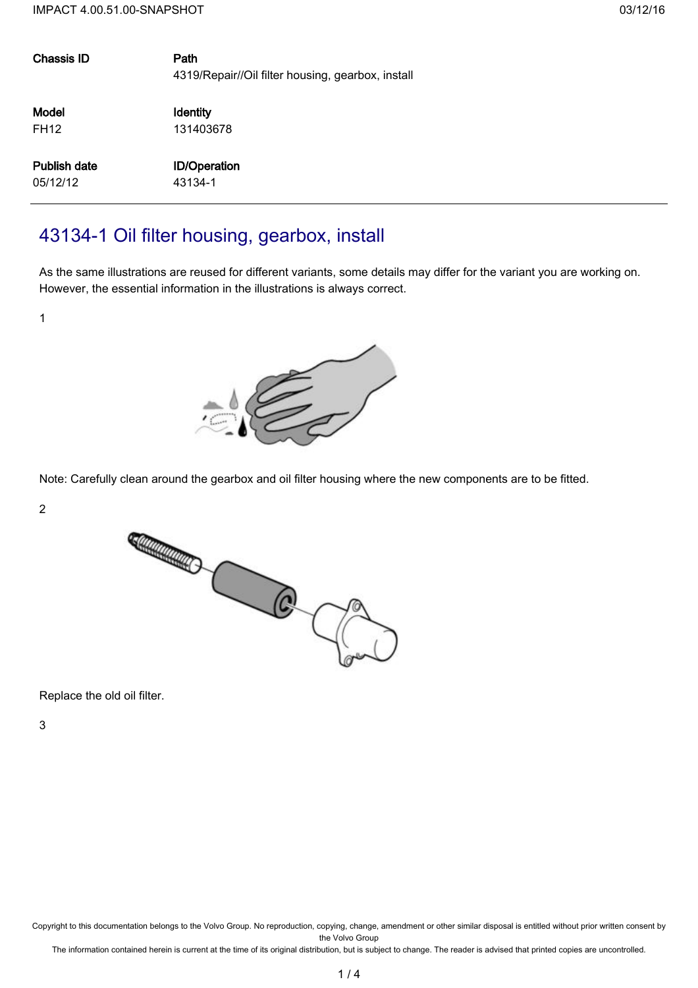| Chassis ID          | Path<br>4319/Repair//Oil filter housing, gearbox, install |
|---------------------|-----------------------------------------------------------|
| Model               | Identity                                                  |
| <b>FH12</b>         | 131403678                                                 |
| <b>Publish date</b> | <b>ID/Operation</b>                                       |
| 05/12/12            | 43134-1                                                   |
|                     |                                                           |

## 43134-1 Oil filter housing, gearbox, install

As the same illustrations are reused for different variants, some details may differ for the variant you are working on. However, the essential information in the illustrations is always correct.

1



Note: Carefully clean around the gearbox and oil filter housing where the new components are to be fitted.

2



Replace the old oil filter.

3

Copyright to this documentation belongs to the Volvo Group. No reproduction, copying, change, amendment or other similar disposal is entitled without prior written consent by the Volvo Group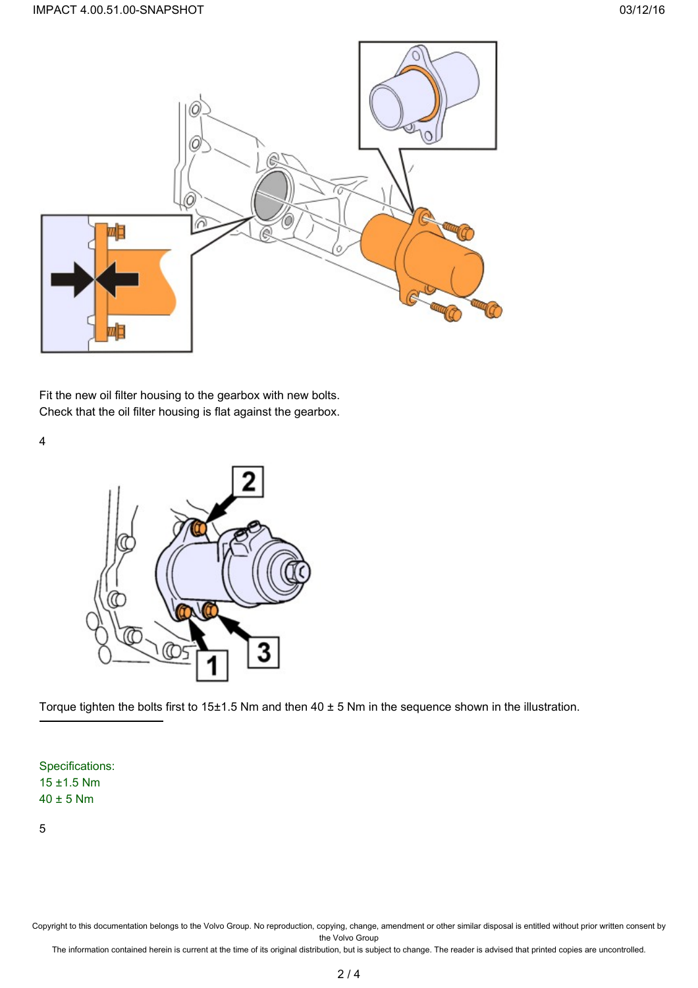

Fit the new oil filter housing to the gearbox with new bolts. Check that the oil filter housing is flat against the gearbox.

4



Torque tighten the bolts first to 15±1.5 Nm and then 40 ± 5 Nm in the sequence shown in the illustration.

Specifications: 15 ±1.5 Nm 40 ± 5 Nm

5

Copyright to this documentation belongs to the Volvo Group. No reproduction, copying, change, amendment or other similar disposal is entitled without prior written consent by the Volvo Group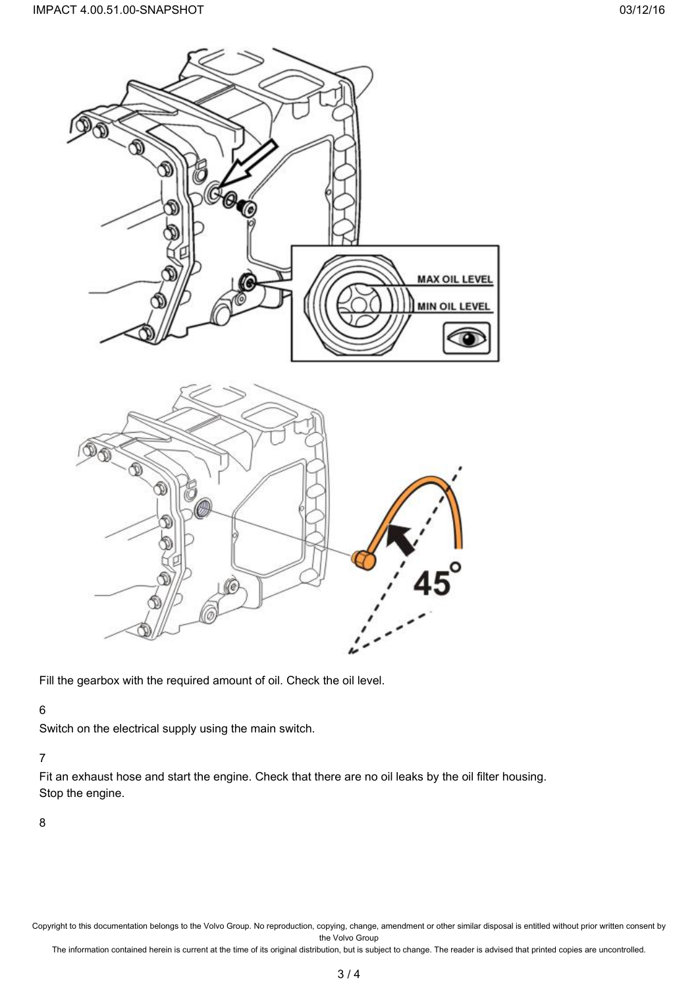

Fill the gearbox with the required amount of oil. Check the oil level.

## 6

Switch on the electrical supply using the main switch.

## 7

Fit an exhaust hose and start the engine. Check that there are no oil leaks by the oil filter housing. Stop the engine.

8

Copyright to this documentation belongs to the Volvo Group. No reproduction, copying, change, amendment or other similar disposal is entitled without prior written consent by the Volvo Group